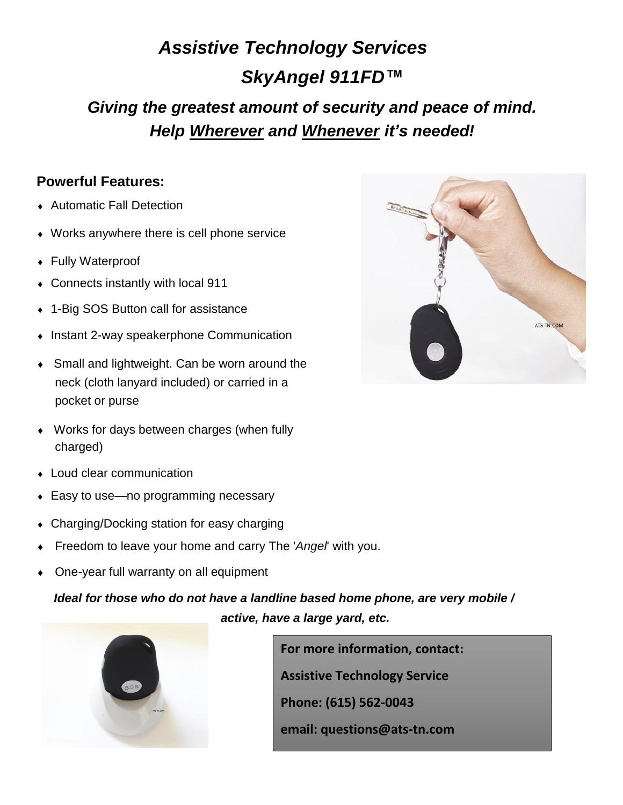## *Assistive Technology Services SkyAngel 911FD™ Giving the greatest amount of security and peace of mind. Help Wherever and Whenever it's needed!*

## **Powerful Features:**

- Automatic Fall Detection
- Works anywhere there is cell phone service
- Fully Waterproof
- Connects instantly with local 911
- 1-Big SOS Button call for assistance
- Instant 2-way speakerphone Communication
- Small and lightweight. Can be worn around the neck (cloth lanyard included) or carried in a pocket or purse
- Works for days between charges (when fully charged)
- Loud clear communication
- Easy to use—no programming necessary
- Charging/Docking station for easy charging
- Freedom to leave your home and carry The '*Angel*' with you.
- One-year full warranty on all equipment

## *Ideal for those who do not have a landline based home phone, are very mobile / active, have a large yard, etc.*



**For more information, contact: Assistive Technology Service Phone: (615) 562-0043 email: questions@ats-tn.com**